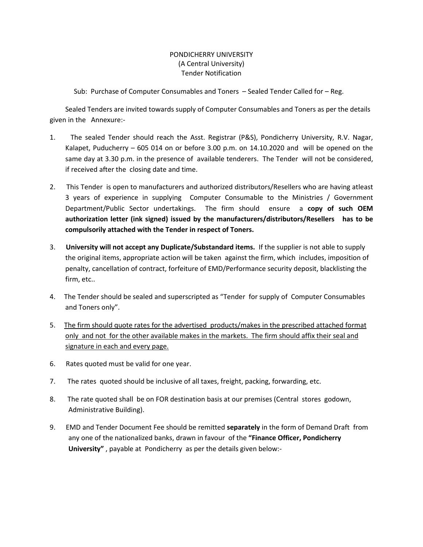## PONDICHERRY UNIVERSITY (A Central University) Tender Notification

Sub: Purchase of Computer Consumables and Toners – Sealed Tender Called for – Reg.

 Sealed Tenders are invited towards supply of Computer Consumables and Toners as per the details given in the Annexure:-

- 1. The sealed Tender should reach the Asst. Registrar (P&S), Pondicherry University, R.V. Nagar, Kalapet, Puducherry – 605 014 on or before 3.00 p.m. on 14.10.2020 and will be opened on the same day at 3.30 p.m. in the presence of available tenderers. The Tender will not be considered, if received after the closing date and time.
- 2. This Tender is open to manufacturers and authorized distributors/Resellers who are having atleast 3 years of experience in supplying Computer Consumable to the Ministries / Government Department/Public Sector undertakings. The firm should ensure a **copy of such OEM authorization letter (ink signed) issued by the manufacturers/distributors/Resellers has to be compulsorily attached with the Tender in respect of Toners.**
- 3. **University will not accept any Duplicate/Substandard items.** If the supplier is not able to supply the original items, appropriate action will be taken against the firm, which includes, imposition of penalty, cancellation of contract, forfeiture of EMD/Performance security deposit, blacklisting the firm, etc..
- 4. The Tender should be sealed and superscripted as "Tender for supply of Computer Consumables and Toners only".
- 5. The firm should quote rates for the advertised products/makes in the prescribed attached format only and not for the other available makes in the markets. The firm should affix their seal and signature in each and every page.
- 6. Rates quoted must be valid for one year.
- 7. The rates quoted should be inclusive of all taxes, freight, packing, forwarding, etc.
- 8. The rate quoted shall be on FOR destination basis at our premises (Central stores godown, Administrative Building).
- 9. EMD and Tender Document Fee should be remitted **separately** in the form of Demand Draft from any one of the nationalized banks, drawn in favour of the **"Finance Officer, Pondicherry University"** , payable at Pondicherry as per the details given below:-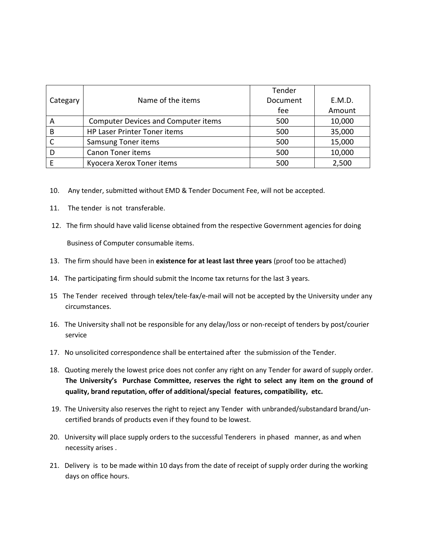|          |                                            | Tender   |        |
|----------|--------------------------------------------|----------|--------|
| Categary | Name of the items                          | Document | E.M.D. |
|          |                                            | fee      | Amount |
| A        | <b>Computer Devices and Computer items</b> | 500      | 10,000 |
| B        | HP Laser Printer Toner items               | 500      | 35,000 |
|          | <b>Samsung Toner items</b>                 | 500      | 15,000 |
|          | <b>Canon Toner items</b>                   | 500      | 10,000 |
|          | Kyocera Xerox Toner items                  | 500      | 2,500  |

- 10. Any tender, submitted without EMD & Tender Document Fee, will not be accepted.
- 11. The tender is not transferable.
- 12. The firm should have valid license obtained from the respective Government agencies for doing Business of Computer consumable items.
- 13. The firm should have been in **existence for at least last three years** (proof too be attached)
- 14. The participating firm should submit the Income tax returns for the last 3 years.
- 15 The Tender received through telex/tele-fax/e-mail will not be accepted by the University under any circumstances.
- 16. The University shall not be responsible for any delay/loss or non-receipt of tenders by post/courier service
- 17. No unsolicited correspondence shall be entertained after the submission of the Tender.
- 18. Quoting merely the lowest price does not confer any right on any Tender for award of supply order. **The University's Purchase Committee, reserves the right to select any item on the ground of quality, brand reputation, offer of additional/special features, compatibility, etc.**
- 19. The University also reserves the right to reject any Tender with unbranded/substandard brand/uncertified brands of products even if they found to be lowest.
- 20. University will place supply orders to the successful Tenderers in phased manner, as and when necessity arises .
- 21. Delivery is to be made within 10 days from the date of receipt of supply order during the working days on office hours.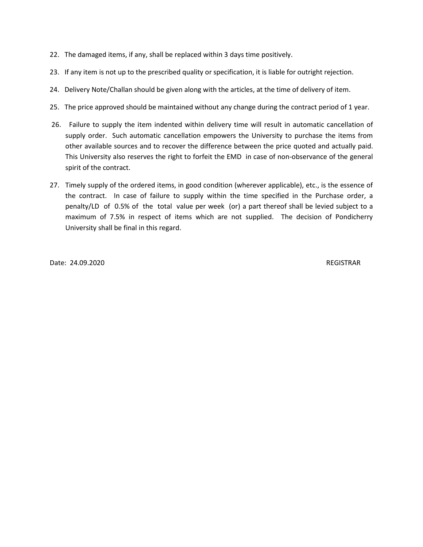- 22. The damaged items, if any, shall be replaced within 3 days time positively.
- 23. If any item is not up to the prescribed quality or specification, it is liable for outright rejection.
- 24. Delivery Note/Challan should be given along with the articles, at the time of delivery of item.
- 25. The price approved should be maintained without any change during the contract period of 1 year.
- 26. Failure to supply the item indented within delivery time will result in automatic cancellation of supply order. Such automatic cancellation empowers the University to purchase the items from other available sources and to recover the difference between the price quoted and actually paid. This University also reserves the right to forfeit the EMD in case of non-observance of the general spirit of the contract.
- 27. Timely supply of the ordered items, in good condition (wherever applicable), etc., is the essence of the contract. In case of failure to supply within the time specified in the Purchase order, a penalty/LD of 0.5% of the total value per week (or) a part thereof shall be levied subject to a maximum of 7.5% in respect of items which are not supplied. The decision of Pondicherry University shall be final in this regard.

Date: 24.09.2020 REGISTRAR REGISTRAR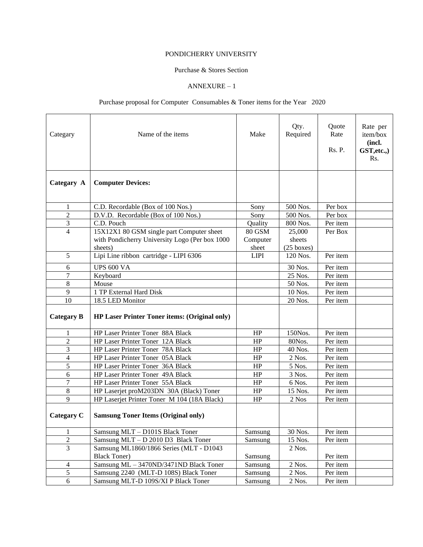### PONDICHERRY UNIVERSITY

#### Purchase & Stores Section

## ANNEXURE – 1

# Purchase proposal for Computer Consumables & Toner items for the Year 2020

| Categary                | Name of the items                                    | Make          | Qty.<br>Required     | Quote<br>Rate<br><b>Rs. P.</b> | Rate per<br>item/box<br>(incl.<br>GST, etc.,<br>R <sub>s</sub> . |
|-------------------------|------------------------------------------------------|---------------|----------------------|--------------------------------|------------------------------------------------------------------|
| Categary A              | <b>Computer Devices:</b>                             |               |                      |                                |                                                                  |
| 1                       | C.D. Recordable (Box of 100 Nos.)                    | Sony          | 500 Nos.             | Per box                        |                                                                  |
| $\sqrt{2}$              | D.V.D. Recordable (Box of 100 Nos.)                  | Sony          | 500 Nos.             | Per box                        |                                                                  |
| $\overline{\mathbf{3}}$ | C.D. Pouch                                           | Quality       | 800 Nos.             | Per item                       |                                                                  |
| $\overline{4}$          | 15X12X1 80 GSM single part Computer sheet            | <b>80 GSM</b> | 25,000               | Per Box                        |                                                                  |
|                         | with Pondicherry University Logo (Per box 1000       | Computer      | sheets               |                                |                                                                  |
|                         | sheets)                                              | sheet         | $(25 \text{ boxes})$ |                                |                                                                  |
| 5                       | Lipi Line ribbon cartridge - LIPI 6306               | <b>LIPI</b>   | 120 Nos.             | Per item                       |                                                                  |
| 6                       | <b>UPS 600 VA</b>                                    |               | 30 Nos.              | Per item                       |                                                                  |
| 7                       | Keyboard                                             |               | 25 Nos.              | Per item                       |                                                                  |
| 8                       | Mouse                                                |               | 50 Nos.              | Per item                       |                                                                  |
| $\overline{9}$          | 1 TP External Hard Disk                              |               | 10 Nos.              | Per item                       |                                                                  |
| 10                      | 18.5 LED Monitor                                     |               | 20 Nos.              | Per item                       |                                                                  |
| <b>Categary B</b>       | <b>HP Laser Printer Toner items: (Original only)</b> |               |                      |                                |                                                                  |
| 1                       | HP Laser Printer Toner 88A Black                     | HP            | 150Nos.              | Per item                       |                                                                  |
| $\overline{c}$          | HP Laser Printer Toner 12A Black                     | HP            | 80Nos.               | Per item                       |                                                                  |
| 3                       | HP Laser Printer Toner 78A Black                     | HP            | 40 Nos.              | Per item                       |                                                                  |
| 4                       | HP Laser Printer Toner 05A Black                     | HP            | 2 Nos.               | Per item                       |                                                                  |
| 5                       | HP Laser Printer Toner 36A Black                     | HP            | 5 Nos.               | Per item                       |                                                                  |
| 6                       | HP Laser Printer Toner 49A Black                     | HP            | 3 Nos.               | Per item                       |                                                                  |
| 7                       | HP Laser Printer Toner 55A Black                     | HP            | 6 Nos.               | Per item                       |                                                                  |
| 8                       | HP Laserjet proM203DN 30A (Black) Toner              | HP            | 15 Nos.              | Per item                       |                                                                  |
| 9                       | HP Laserjet Printer Toner M 104 (18A Black)          | HP            | 2 Nos                | Per item                       |                                                                  |
| Categary C              | <b>Samsung Toner Items (Original only)</b>           |               |                      |                                |                                                                  |
| 1                       | Samsung MLT - D101S Black Toner                      | Samsung       | 30 Nos.              | Per item                       |                                                                  |
| $\overline{2}$          | Samsung MLT - D 2010 D3 Black Toner                  | Samsung       | 15 Nos.              | Per item                       |                                                                  |
| 3                       | Samsung ML1860/1866 Series (MLT - D1043              |               | 2 Nos.               |                                |                                                                  |
|                         | <b>Black Toner)</b>                                  | Samsung       |                      | Per item                       |                                                                  |
| 4                       | Samsung ML - 3470ND/3471ND Black Toner               | Samsung       | 2 Nos.               | Per item                       |                                                                  |
| $\mathfrak{S}$          | Samsung 2240 (MLT-D 108S) Black Toner                | Samsung       | 2 Nos.               | Per item                       |                                                                  |
| 6                       | Samsung MLT-D 109S/XI P Black Toner                  | Samsung       | 2 Nos.               | Per item                       |                                                                  |